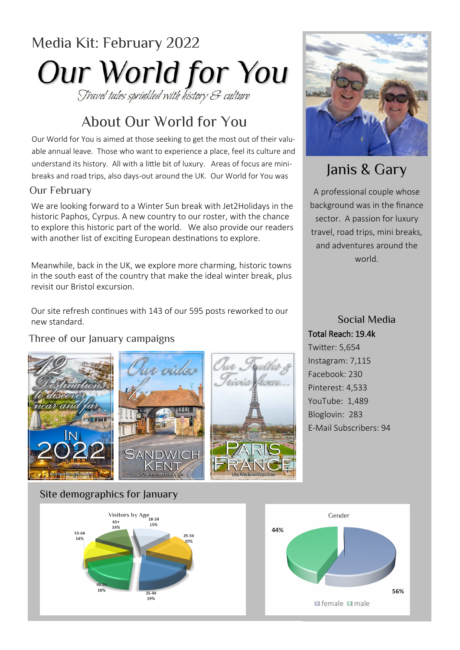# Media Kit: February 2022 Our World for You Travel tales sprinkled with history & culture

# About Our World for You

Our World for You is aimed at those seeking to get the most out of their valuable annual leave. Those who want to experience a place, feel its culture and understand its history. All with a little bit of luxury. Areas of focus are minibreaks and road trips, also days-out around the UK. Our World for You was

#### Our February

We are looking forward to a Winter Sun break with Jet2Holidays in the historic Paphos, Cyrpus. A new country to our roster, with the chance to explore this historic part of the world. We also provide our readers with another list of exciting European destinations to explore.

Meanwhile, back in the UK, we explore more charming, historic towns in the south east of the country that make the ideal winter break, plus revisit our Bristol excursion.

Our site refresh continues with 143 of our 595 posts reworked to our new standard.

#### Three of our January campaigns





# Janis & Gary

A professional couple whose background was in the finance sector. A passion for luxury travel, road trips, mini breaks, and adventures around the world.

Social Media Total Reach: 19.4k Twitter: 5,654 Instagram: 7,115 Facebook: 230 Pinterest: 4,533 YouTube: 1,489 Bloglovin: 283 E-Mail Subscribers: 94

#### Site demographics for January